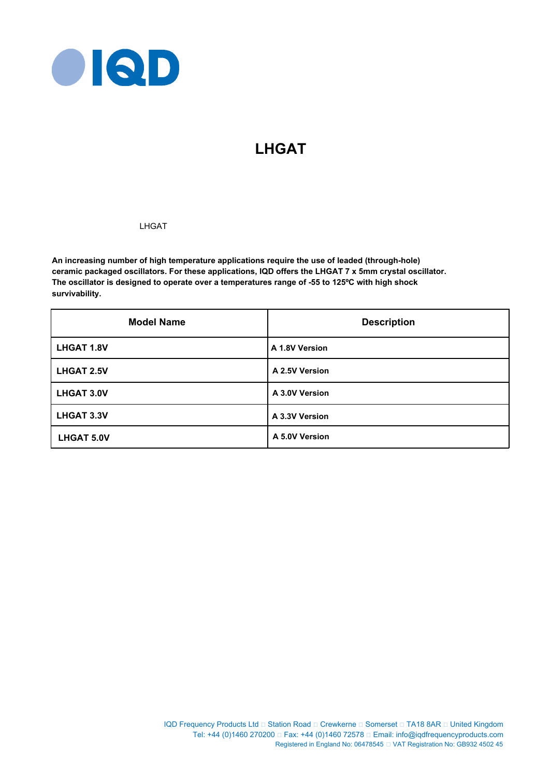

# **LHGAT**

# LHGAT

**An increasing number of high temperature applications require the use of leaded (through-hole) ceramic packaged oscillators. For these applications, IQD offers the LHGAT 7 x 5mm crystal oscillator. The oscillator is designed to operate over a temperatures range of -55 to 125ºC with high shock survivability.**

| <b>Model Name</b> | <b>Description</b> |
|-------------------|--------------------|
| <b>LHGAT 1.8V</b> | A 1.8V Version     |
| <b>LHGAT 2.5V</b> | A 2.5V Version     |
| <b>LHGAT 3.0V</b> | A 3.0V Version     |
| <b>LHGAT 3.3V</b> | A 3.3V Version     |
| <b>LHGAT 5.0V</b> | A 5.0V Version     |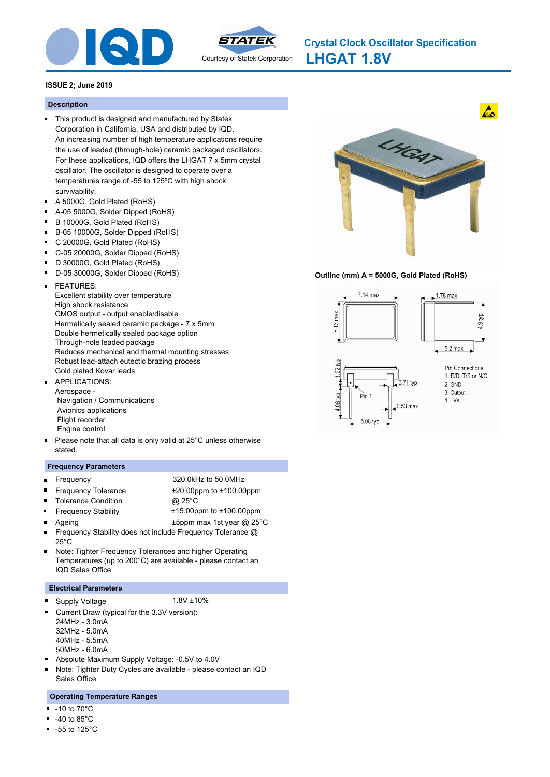



**LHGAT 1.8V Crystal Clock Oscillator Specification**

### **ISSUE 2; June 2019**

#### **Description**

- This product is designed and manufactured by Statek Corporation in California, USA and distributed by IQD. An increasing number of high temperature applications require the use of leaded (through-hole) ceramic packaged oscillators. For these applications, IQD offers the LHGAT 7 x 5mm crystal oscillator. The oscillator is designed to operate over a temperatures range of -55 to 125ºC with high shock survivability.
- A 5000G, Gold Plated (RoHS)
- $\blacksquare$ A-05 5000G, Solder Dipped (RoHS)
- B 10000G, Gold Plated (RoHS)  $\blacksquare$
- $\blacksquare$ B-05 10000G, Solder Dipped (RoHS)
- $\blacksquare$ C 20000G, Gold Plated (RoHS)
- C-05 20000G, Solder Dipped (RoHS)  $\blacksquare$
- D 30000G, Gold Plated (RoHS)
- D-05 30000G, Solder Dipped (RoHS)
- FEATURES:  $\blacksquare$ 
	- Excellent stability over temperature High shock resistance CMOS output - output enable/disable Hermetically sealed ceramic package - 7 x 5mm Double hermetically sealed package option Through-hole leaded package Reduces mechanical and thermal mounting stresses Robust lead-attach eutectic brazing process Gold plated Kovar leads
- APPLICATIONS:  $\blacksquare$ Aerospace - Navigation / Communications Avionics applications Flight recorder Engine control
- Please note that all data is only valid at 25°C unless otherwise stated.

### **Frequency Parameters**

 $\blacksquare$ 

 $\blacksquare$ 

 $\blacksquare$ 

- $\blacksquare$
- Frequency 320.0kHz to 50.0MHz
	-
- Frequency Tolerance  $\pm 20.00$ ppm to  $\pm 100.00$ ppm
	- Tolerance Condition @ 25°C
- Frequency Stability ±15.00ppm to ±100.00ppm
- - Ageing t5ppm max 1st year @ 25°C
- $\blacksquare$ Frequency Stability does not include Frequency Tolerance @  $25^\circ C$
- Note: Tighter Frequency Tolerances and higher Operating  $\blacksquare$ Temperatures (up to 200°C) are available - please contact an IQD Sales Office

### **Electrical Parameters**

- Supply Voltage 1.8V ±10% ٠
	-
- Current Draw (typical for the 3.3V version):  $\blacksquare$ 24MHz - 3.0mA
	- 32MHz 5.0mA
	- 40MHz 5.5mA
	- 50MHz 6.0mA
- Absolute Maximum Supply Voltage: -0.5V to 4.0V m.
- Note: Tighter Duty Cycles are available please contact an IQD Sales Office

### **Operating Temperature Ranges**

- -10 to 70°C
- $\blacksquare$ -40 to 85°C
- $-55$  to 125 $^{\circ}$ C



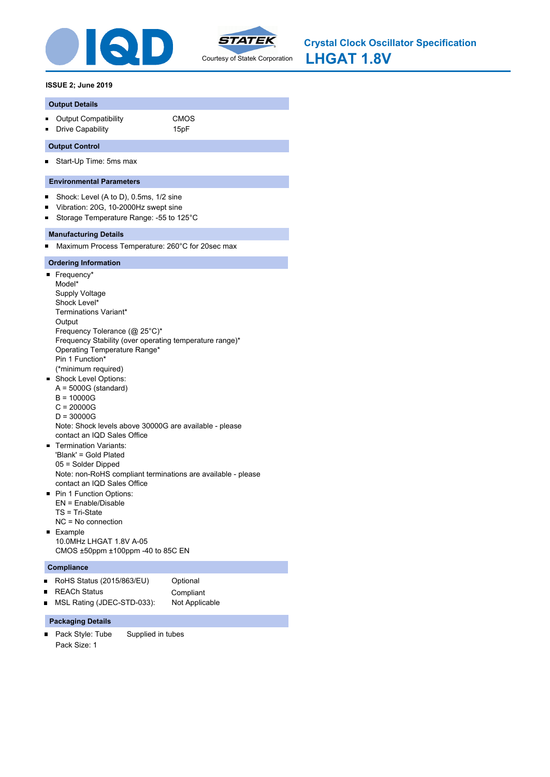



**LHGAT 1.8V Crystal Clock Oscillator Specification**

### **ISSUE 2; June 2019**

#### **Output Details**

- Output Compatibility **CMOS**
- **Drive Capability** 15pF

### **Output Control**

Start-Up Time: 5ms max  $\blacksquare$ 

### **Environmental Parameters**

- $\blacksquare$ Shock: Level (A to D), 0.5ms, 1/2 sine
- Vibration: 20G, 10-2000Hz swept sine  $\blacksquare$
- Storage Temperature Range: -55 to 125°C  $\blacksquare$

### **Manufacturing Details**

Maximum Process Temperature: 260°C for 20sec max  $\blacksquare$ 

### **Ordering Information**

- Frequency\* Model\* Supply Voltage Shock Level\* Terminations Variant\* **Output** Frequency Tolerance (@ 25°C)\* Frequency Stability (over operating temperature range)\* Operating Temperature Range\* Pin 1 Function\* (\*minimum required) **Shock Level Options:**  $A = 5000G$  (standard) B = 10000G C = 20000G D = 30000G Note: Shock levels above 30000G are available - please contact an IQD Sales Office Termination Variants: m. 'Blank' = Gold Plated 05 = Solder Dipped Note: non-RoHS compliant terminations are available - please contact an IQD Sales Office **Pin 1 Function Options:** EN = Enable/Disable TS = Tri-State NC = No connection **Example**
- 10.0MHz LHGAT 1.8V A-05 CMOS ±50ppm ±100ppm -40 to 85C EN

#### **Compliance**

 $\blacksquare$ 

- RoHS Status (2015/863/EU) Optional
	- REACh Status **Compliant**
- MSL Rating (JDEC-STD-033): Not Applicable  $\blacksquare$

#### **Packaging Details**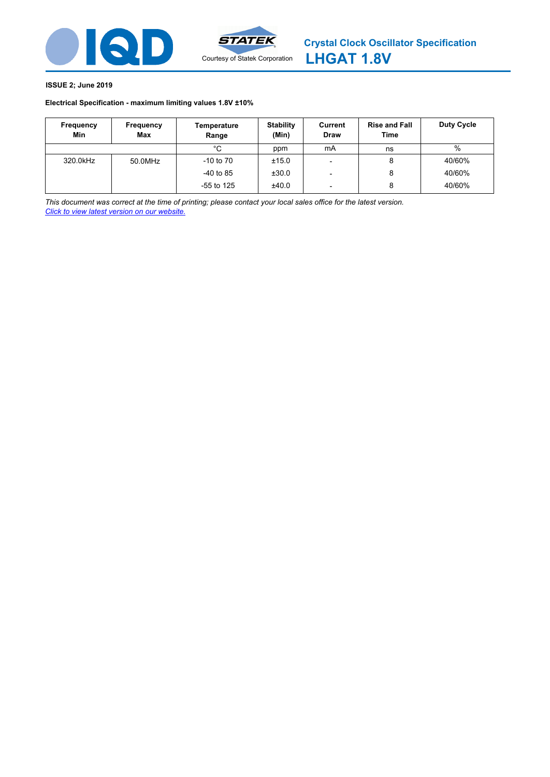

# **Electrical Specification - maximum limiting values [1.8V ±10%](http://www.statek.com)**

| Frequency<br>Min | Frequency<br>Max | Temperature<br>Range | <b>Stability</b><br>(Min) | Current<br><b>Draw</b>   | <b>Rise and Fall</b><br><b>Time</b> | Duty Cycle |
|------------------|------------------|----------------------|---------------------------|--------------------------|-------------------------------------|------------|
|                  |                  | °C                   | ppm                       | mA                       | ns                                  | %          |
| 320.0kHz         | 50.0MHz          | $-10$ to $70$        | ±15.0                     |                          | 8                                   | 40/60%     |
|                  |                  | $-40$ to 85          | ±30.0                     |                          | 8                                   | 40/60%     |
|                  |                  | $-55$ to 125         | ±40.0                     | $\overline{\phantom{0}}$ | 8                                   | 40/60%     |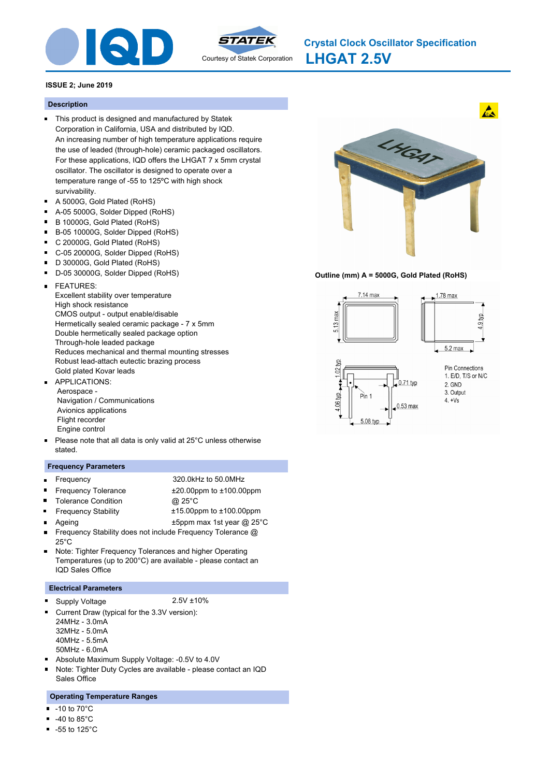



# **Description**

- This product is designed and manufactured by Statek Corporation in California, USA and distributed by IQD. An increasing number of high temperature applications require the use of leaded (through-hole) ceramic packaged oscillators. For these applications, IQD offers the LHGAT 7 x 5mm crystal oscillator. The oscillator is designed to operate over a temperature range of -55 to 125ºC with high shock survivability.
- A 5000G, Gold Plated (RoHS)
- $\blacksquare$ A-05 5000G, Solder Dipped (RoHS)
- B 10000G, Gold Plated (RoHS)  $\blacksquare$
- $\blacksquare$ B-05 10000G, Solder Dipped (RoHS)
- $\blacksquare$ C 20000G, Gold Plated (RoHS)
- C-05 20000G, Solder Dipped (RoHS)  $\blacksquare$
- D 30000G, Gold Plated (RoHS)
- D-05 30000G, Solder Dipped (RoHS)
- FEATURES:  $\blacksquare$ 
	- Excellent stability over temperature High shock resistance CMOS output - output enable/disable Hermetically sealed ceramic package - 7 x 5mm Double hermetically sealed package option Through-hole leaded package Reduces mechanical and thermal mounting stresses Robust lead-attach eutectic brazing process Gold plated Kovar leads
- APPLICATIONS:  $\blacksquare$  Aerospace - Navigation / Communications Avionics applications Flight recorder Engine control
- Please note that all data is only valid at 25°C unless otherwise stated.

### **Frequency Parameters**

- $\blacksquare$
- $\blacksquare$
- Frequency 320.0kHz to 50.0MHz
	-
- $\blacksquare$ Tolerance Condition @ 25°C
- Frequency Tolerance  $\pm 20.00$ ppm to  $\pm 100.00$ ppm
	- Frequency Stability ±15.00ppm to ±100.00ppm
		-
	- Ageing t5ppm max 1st year @ 25°C
- $\blacksquare$ Frequency Stability does not include Frequency Tolerance @  $25^\circ C$
- Note: Tighter Frequency Tolerances and higher Operating  $\blacksquare$ Temperatures (up to 200°C) are available - please contact an IQD Sales Office

# **Electrical Parameters**

- Supply Voltage 2.5V ±10% ٠
- 
- Current Draw (typical for the 3.3V version):  $\blacksquare$ 24MHz - 3.0mA
	- 32MHz 5.0mA
	- 40MHz 5.5mA
	- 50MHz 6.0mA
- Absolute Maximum Supply Voltage: -0.5V to 4.0V m.
- Note: Tighter Duty Cycles are available please contact an IQD Sales Office

# **Operating Temperature Ranges**

- -10 to 70°C
- $\blacksquare$ -40 to 85°C
- $-55$  to 125 $^{\circ}$ C



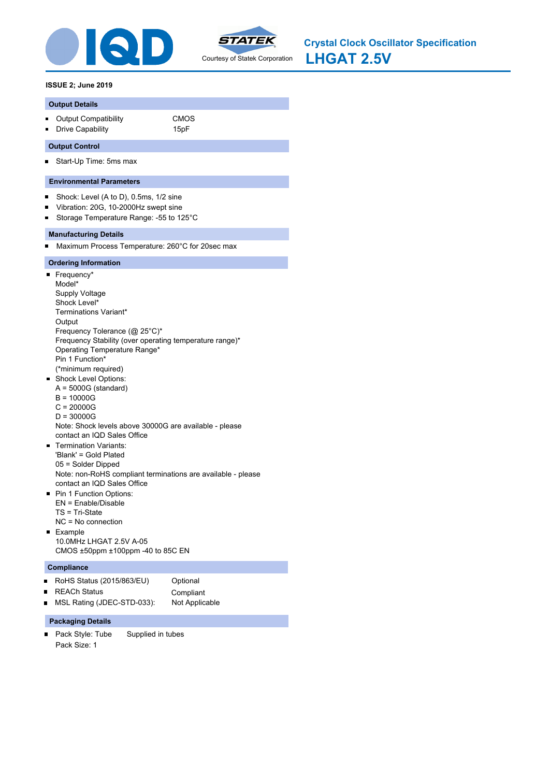



**LHGAT 2.5V Crystal Clock Oscillator Specification**

### **ISSUE 2; June 2019**

#### **Output Details**

- Output Compatibility **CMOS**
- **Drive Capability** 15pF

### **Output Control**

Start-Up Time: 5ms max  $\blacksquare$ 

### **Environmental Parameters**

- $\blacksquare$ Shock: Level (A to D), 0.5ms, 1/2 sine
- Vibration: 20G, 10-2000Hz swept sine  $\blacksquare$
- Storage Temperature Range: -55 to 125°C  $\blacksquare$

### **Manufacturing Details**

Maximum Process Temperature: 260°C for 20sec max  $\blacksquare$ 

### **Ordering Information**

- Frequency\* Model\* Supply Voltage Shock Level\* Terminations Variant\* **Output** Frequency Tolerance (@ 25°C)\* Frequency Stability (over operating temperature range)\* Operating Temperature Range\* Pin 1 Function\* (\*minimum required) **Shock Level Options:**  $A = 5000G$  (standard) B = 10000G C = 20000G D = 30000G Note: Shock levels above 30000G are available - please contact an IQD Sales Office Termination Variants: m. 'Blank' = Gold Plated 05 = Solder Dipped Note: non-RoHS compliant terminations are available - please contact an IQD Sales Office **Pin 1 Function Options:** EN = Enable/Disable TS = Tri-State NC = No connection **Example**
- 10.0MHz LHGAT 2.5V A-05 CMOS ±50ppm ±100ppm -40 to 85C EN

#### **Compliance**

 $\blacksquare$ 

- RoHS Status (2015/863/EU) Optional
	-
- REACh Status **Compliant** MSL Rating (JDEC-STD-033): Not Applicable  $\blacksquare$

# **Packaging Details**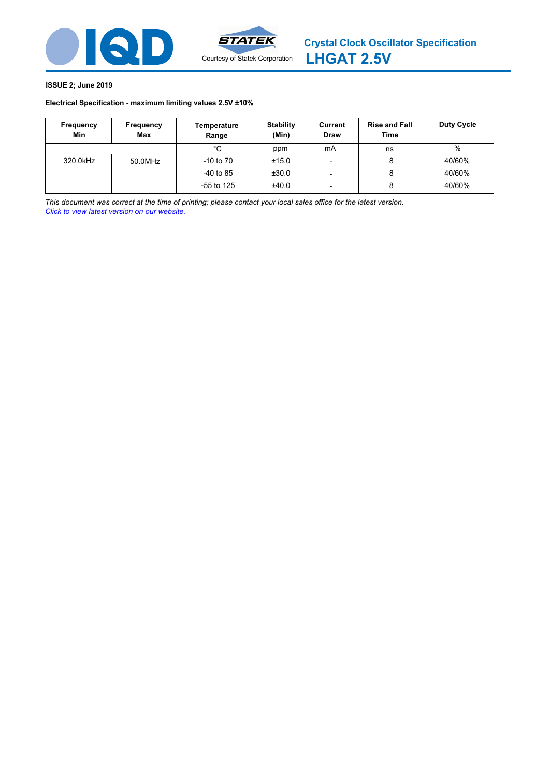



# **Electrical Specification - maximum limiting values [2.5V ±10%](http://www.statek.com)**

| Frequency<br>Min | Frequency<br>Max | Temperature<br>Range | <b>Stability</b><br>(Min) | Current<br><b>Draw</b>   | <b>Rise and Fall</b><br><b>Time</b> | Duty Cycle |
|------------------|------------------|----------------------|---------------------------|--------------------------|-------------------------------------|------------|
|                  |                  | °C                   | ppm                       | mA                       | ns                                  | %          |
| 320.0kHz         | 50.0MHz          | $-10$ to $70$        | ±15.0                     |                          | 8                                   | 40/60%     |
|                  |                  | $-40$ to 85          | ±30.0                     |                          | 8                                   | 40/60%     |
|                  |                  | $-55$ to 125         | ±40.0                     | $\overline{\phantom{0}}$ | 8                                   | 40/60%     |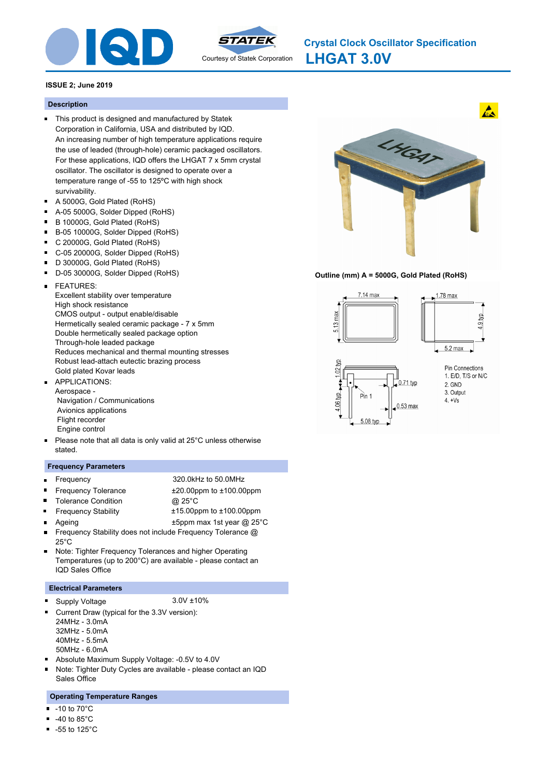



**LHGAT 3.0V Crystal Clock Oscillator Specification**

### **ISSUE 2; June 2019**

#### **Description**

- This product is designed and manufactured by Statek Corporation in California, USA and distributed by IQD. An increasing number of high temperature applications require the use of leaded (through-hole) ceramic packaged oscillators. For these applications, IQD offers the LHGAT 7 x 5mm crystal oscillator. The oscillator is designed to operate over a temperature range of -55 to 125ºC with high shock survivability.
- A 5000G, Gold Plated (RoHS)
- $\blacksquare$ A-05 5000G, Solder Dipped (RoHS)
- B 10000G, Gold Plated (RoHS)  $\blacksquare$
- $\blacksquare$ B-05 10000G, Solder Dipped (RoHS)
- $\blacksquare$ C 20000G, Gold Plated (RoHS)
- C-05 20000G, Solder Dipped (RoHS)  $\blacksquare$
- D 30000G, Gold Plated (RoHS)
- D-05 30000G, Solder Dipped (RoHS)
- FEATURES:  $\blacksquare$ 
	- Excellent stability over temperature High shock resistance CMOS output - output enable/disable Hermetically sealed ceramic package - 7 x 5mm Double hermetically sealed package option Through-hole leaded package Reduces mechanical and thermal mounting stresses Robust lead-attach eutectic brazing process Gold plated Kovar leads
- APPLICATIONS:  $\blacksquare$ Aerospace - Navigation / Communications Avionics applications Flight recorder Engine control
- Please note that all data is only valid at 25°C unless otherwise stated.

### **Frequency Parameters**

 $\blacksquare$ 

 $\blacksquare$ 

 $\blacksquare$ 

- $\blacksquare$ Frequency Tolerance  $\pm 20.00$ ppm to  $\pm 100.00$ ppm
- Frequency 320.0kHz to 50.0MHz
	-
- 
- Tolerance Condition @ 25°C
- Frequency Stability ±15.00ppm to ±100.00ppm
- -
	- Ageing t5ppm max 1st year @ 25°C
- $\blacksquare$ Frequency Stability does not include Frequency Tolerance @  $25^\circ C$
- Note: Tighter Frequency Tolerances and higher Operating  $\blacksquare$ Temperatures (up to 200°C) are available - please contact an IQD Sales Office

### **Electrical Parameters**

- Supply Voltage 3.0V ±10% ٠
	-
- Current Draw (typical for the 3.3V version):  $\blacksquare$ 24MHz - 3.0mA
	- 32MHz 5.0mA
	- 40MHz 5.5mA
	- 50MHz 6.0mA
- Absolute Maximum Supply Voltage: -0.5V to 4.0V m.
- Note: Tighter Duty Cycles are available please contact an IQD Sales Office

### **Operating Temperature Ranges**

- -10 to 70°C
- $\blacksquare$ -40 to 85°C
- $-55$  to 125 $^{\circ}$ C



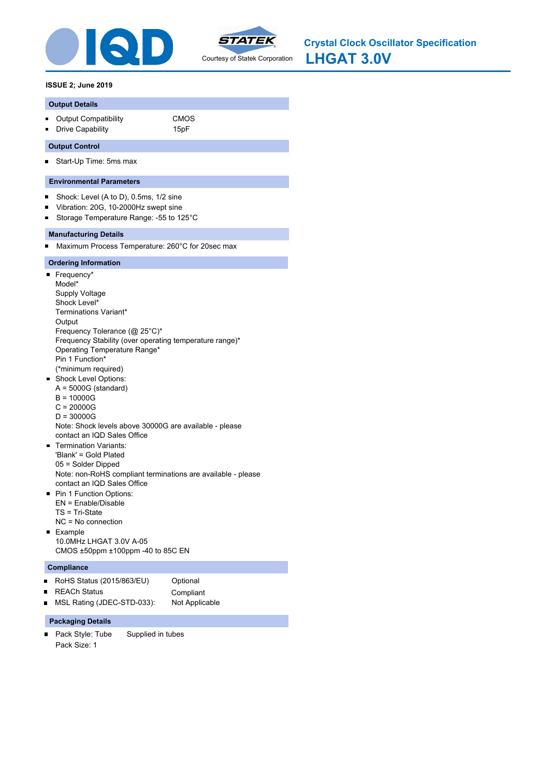



**LHGAT 3.0V Crystal Clock Oscillator Specification**

# **ISSUE 2; June 2019**

# **Output Details**

- Output Compatibility **CMOS**
- **Drive Capability** 15pF

# **Output Control**

Start-Up Time: 5ms max  $\blacksquare$ 

# **Environmental Parameters**

- $\blacksquare$ Shock: Level (A to D), 0.5ms, 1/2 sine
- Vibration: 20G, 10-2000Hz swept sine  $\blacksquare$
- Storage Temperature Range: -55 to 125°C  $\blacksquare$

# **Manufacturing Details**

Maximum Process Temperature: 260°C for 20sec max  $\blacksquare$ 

# **Ordering Information**

- Frequency\* Model\* Supply Voltage Shock Level\* Terminations Variant\* **Output** Frequency Tolerance (@ 25°C)\* Frequency Stability (over operating temperature range)\* Operating Temperature Range\* Pin 1 Function\* (\*minimum required) **Shock Level Options:**  $A = 5000G$  (standard) B = 10000G C = 20000G D = 30000G Note: Shock levels above 30000G are available - please contact an IQD Sales Office Termination Variants: m. 'Blank' = Gold Plated 05 = Solder Dipped Note: non-RoHS compliant terminations are available - please contact an IQD Sales Office **Pin 1 Function Options:** EN = Enable/Disable TS = Tri-State NC = No connection
- **Example** 10.0MHz LHGAT 3.0V A-05 CMOS ±50ppm ±100ppm -40 to 85C EN

# **Compliance**

 $\blacksquare$ 

- RoHS Status (2015/863/EU) Optional
	- REACh Status **Compliant**
- MSL Rating (JDEC-STD-033): Not Applicable  $\blacksquare$

# **Packaging Details**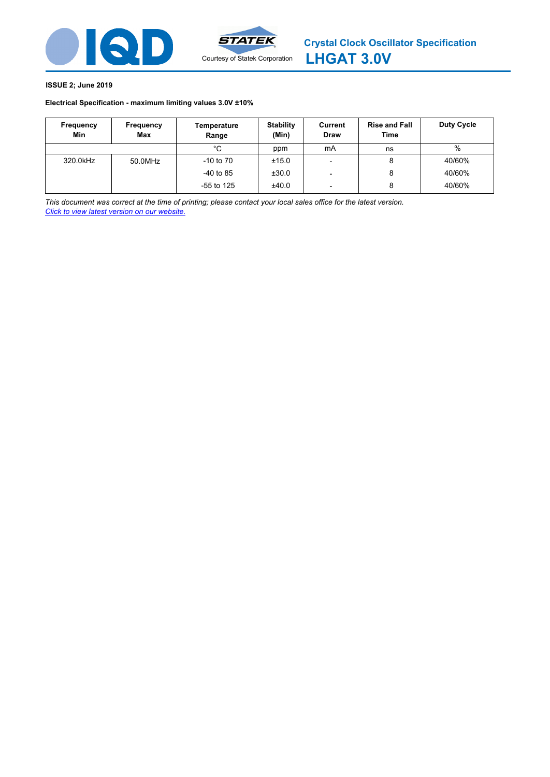

# **Electrical Specification - maximum limiting values [3.0V ±10%](http://www.statek.com)**

| Frequency<br>Min | Frequency<br>Max | Temperature<br>Range | <b>Stability</b><br>(Min) | Current<br><b>Draw</b>   | <b>Rise and Fall</b><br><b>Time</b> | Duty Cycle |
|------------------|------------------|----------------------|---------------------------|--------------------------|-------------------------------------|------------|
|                  |                  | °C                   | ppm                       | mA                       | ns                                  | %          |
| 320.0kHz         | 50.0MHz          | $-10$ to $70$        | ±15.0                     |                          | 8                                   | 40/60%     |
|                  |                  | $-40$ to 85          | ±30.0                     |                          | 8                                   | 40/60%     |
|                  |                  | $-55$ to 125         | ±40.0                     | $\overline{\phantom{0}}$ | 8                                   | 40/60%     |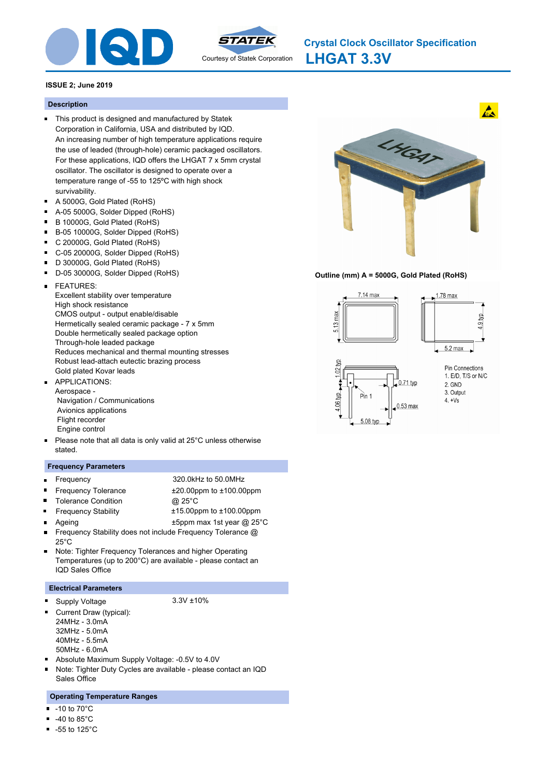



# **Description**

- This product is designed and manufactured by Statek Corporation in California, USA and distributed by IQD. An increasing number of high temperature applications require the use of leaded (through-hole) ceramic packaged oscillators. For these applications, IQD offers the LHGAT 7 x 5mm crystal oscillator. The oscillator is designed to operate over a temperature range of -55 to 125ºC with high shock survivability.
- A 5000G, Gold Plated (RoHS)
- $\blacksquare$ A-05 5000G, Solder Dipped (RoHS)
- B 10000G, Gold Plated (RoHS)  $\blacksquare$
- $\blacksquare$ B-05 10000G, Solder Dipped (RoHS)
- $\blacksquare$ C 20000G, Gold Plated (RoHS)
- C-05 20000G, Solder Dipped (RoHS)  $\blacksquare$
- D 30000G, Gold Plated (RoHS)
- D-05 30000G, Solder Dipped (RoHS)
- FEATURES:  $\blacksquare$ 
	- Excellent stability over temperature High shock resistance CMOS output - output enable/disable Hermetically sealed ceramic package - 7 x 5mm Double hermetically sealed package option Through-hole leaded package Reduces mechanical and thermal mounting stresses Robust lead-attach eutectic brazing process Gold plated Kovar leads
- APPLICATIONS:  $\blacksquare$ Aerospace - Navigation / Communications Avionics applications Flight recorder Engine control
- Please note that all data is only valid at 25°C unless otherwise stated.

### **Frequency Parameters**

 $\blacksquare$ 

 $\blacksquare$ 

- $\blacksquare$
- Frequency 320.0kHz to 50.0MHz
	-
- $\blacksquare$ Tolerance Condition @ 25°C
- Frequency Tolerance  $\pm 20.00$ ppm to  $\pm 100.00$ ppm
	- Frequency Stability ±15.00ppm to ±100.00ppm
	-
	- Ageing t5ppm max 1st year @ 25°C
- $\blacksquare$ Frequency Stability does not include Frequency Tolerance @ 25°C
- Note: Tighter Frequency Tolerances and higher Operating  $\blacksquare$ Temperatures (up to 200°C) are available - please contact an IQD Sales Office

### **Electrical Parameters**

Supply Voltage 3.3V ±10% Ξ

- Current Draw (typical):  $\blacksquare$ 
	- 24MHz 3.0mA
	- 32MHz 5.0mA
	- 40MHz 5.5mA
	- 50MHz 6.0mA
- Absolute Maximum Supply Voltage: -0.5V to 4.0V m.
- Note: Tighter Duty Cycles are available please contact an IQD Sales Office

# **Operating Temperature Ranges**

- -10 to 70°C
- $\blacksquare$ -40 to 85°C
- $-55$  to 125 $^{\circ}$ C



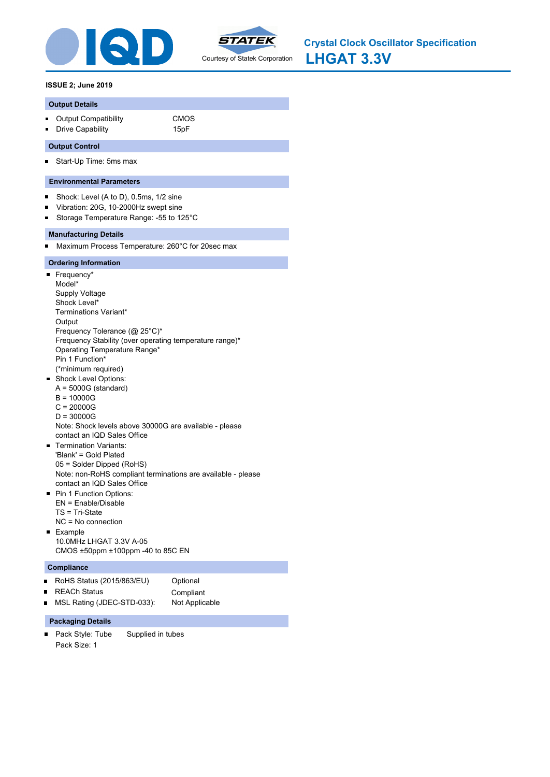



**LHGAT 3.3V Crystal Clock Oscillator Specification**

### **ISSUE 2; June 2019**

#### **Output Details**

- Output Compatibility **CMOS**
- **Drive Capability** 15pF

### **Output Control**

Start-Up Time: 5ms max  $\blacksquare$ 

### **Environmental Parameters**

- $\blacksquare$ Shock: Level (A to D), 0.5ms, 1/2 sine
- Vibration: 20G, 10-2000Hz swept sine  $\blacksquare$
- Storage Temperature Range: -55 to 125°C  $\blacksquare$

### **Manufacturing Details**

Maximum Process Temperature: 260°C for 20sec max  $\blacksquare$ 

### **Ordering Information**

- Frequency\* Model\* Supply Voltage Shock Level\* Terminations Variant\* **Output** Frequency Tolerance (@ 25°C)\* Frequency Stability (over operating temperature range)\* Operating Temperature Range\* Pin 1 Function\* (\*minimum required) **Shock Level Options:**  $A = 5000G$  (standard) B = 10000G C = 20000G D = 30000G Note: Shock levels above 30000G are available - please contact an IQD Sales Office Termination Variants: m. 'Blank' = Gold Plated 05 = Solder Dipped (RoHS) Note: non-RoHS compliant terminations are available - please contact an IQD Sales Office **Pin 1 Function Options:** EN = Enable/Disable TS = Tri-State NC = No connection **Example**
- 10.0MHz LHGAT 3.3V A-05 CMOS ±50ppm ±100ppm -40 to 85C EN

#### **Compliance**

 $\blacksquare$ 

- RoHS Status (2015/863/EU) Optional
	- REACh Status **Compliant**
- MSL Rating (JDEC-STD-033): Not Applicable  $\blacksquare$

#### **Packaging Details**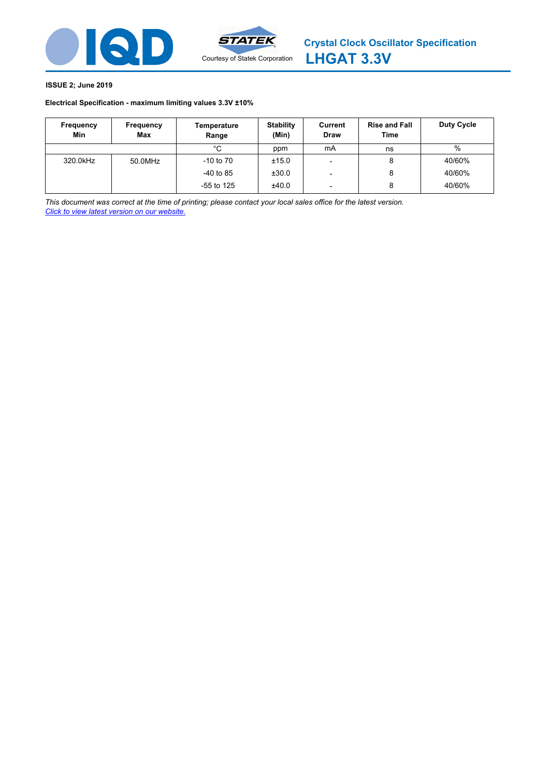



# **Electrical Specification - maximum limiting values [3.3V ±10%](http://www.statek.com)**

| Frequency<br>Min | Frequency<br>Max | Temperature<br>Range | <b>Stability</b><br>(Min) | Current<br><b>Draw</b>   | <b>Rise and Fall</b><br><b>Time</b> | Duty Cycle |
|------------------|------------------|----------------------|---------------------------|--------------------------|-------------------------------------|------------|
|                  |                  | °C                   | ppm                       | mA                       | ns                                  | %          |
| 320.0kHz         | 50.0MHz          | $-10$ to $70$        | ±15.0                     |                          | 8                                   | 40/60%     |
|                  |                  | $-40$ to 85          | ±30.0                     |                          | 8                                   | 40/60%     |
|                  |                  | $-55$ to 125         | ±40.0                     | $\overline{\phantom{0}}$ | 8                                   | 40/60%     |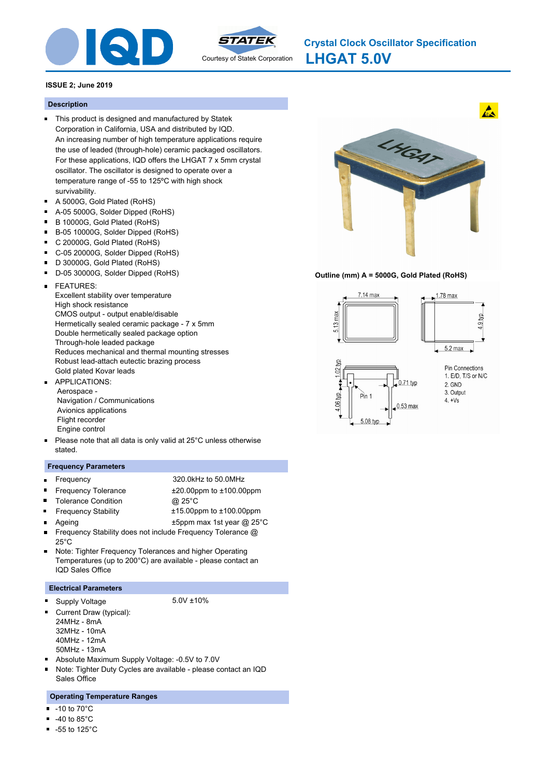



**LHGAT 5.0V Crystal Clock Oscillator Specification**

### **ISSUE 2; June 2019**

#### **Description**

- This product is designed and manufactured by Statek Corporation in California, USA and distributed by IQD. An increasing number of high temperature applications require the use of leaded (through-hole) ceramic packaged oscillators. For these applications, IQD offers the LHGAT 7 x 5mm crystal oscillator. The oscillator is designed to operate over a temperature range of -55 to 125ºC with high shock survivability.
- A 5000G, Gold Plated (RoHS)
- $\blacksquare$ A-05 5000G, Solder Dipped (RoHS)
- B 10000G, Gold Plated (RoHS)  $\blacksquare$
- $\blacksquare$ B-05 10000G, Solder Dipped (RoHS)
- $\blacksquare$ C 20000G, Gold Plated (RoHS)
- C-05 20000G, Solder Dipped (RoHS)  $\blacksquare$
- D 30000G, Gold Plated (RoHS)
- D-05 30000G, Solder Dipped (RoHS)
- FEATURES:  $\blacksquare$ 
	- Excellent stability over temperature High shock resistance CMOS output - output enable/disable Hermetically sealed ceramic package - 7 x 5mm Double hermetically sealed package option Through-hole leaded package Reduces mechanical and thermal mounting stresses Robust lead-attach eutectic brazing process Gold plated Kovar leads
- APPLICATIONS:  $\blacksquare$  Aerospace - Navigation / Communications Avionics applications Flight recorder Engine control
- Please note that all data is only valid at 25°C unless otherwise stated.

### **Frequency Parameters**

 $\blacksquare$ 

 $\blacksquare$ 

 $\blacksquare$ 

- $\blacksquare$
- Frequency 320.0kHz to 50.0MHz
	-
- 
- Tolerance Condition @ 25°C
- Frequency Tolerance  $\pm 20.00$ ppm to  $\pm 100.00$ ppm
- 
- Frequency Stability ±15.00ppm to ±100.00ppm
- Ageing t5ppm max 1st year @ 25°C
- $\blacksquare$ Frequency Stability does not include Frequency Tolerance @  $25^\circ C$
- Note: Tighter Frequency Tolerances and higher Operating  $\blacksquare$ Temperatures (up to 200°C) are available - please contact an IQD Sales Office

### **Electrical Parameters**

Supply Voltage 5.0V ±10% Ξ

- Current Draw (typical):  $\blacksquare$ 
	- 24MHz 8mA
	- 32MHz 10mA
	- 40MHz 12mA
	- 50MHz 13mA
- Absolute Maximum Supply Voltage: -0.5V to 7.0V m.
- Note: Tighter Duty Cycles are available please contact an IQD Sales Office

### **Operating Temperature Ranges**

- -10 to 70°C
- $\blacksquare$ -40 to 85°C
- $-55$  to 125 $^{\circ}$ C



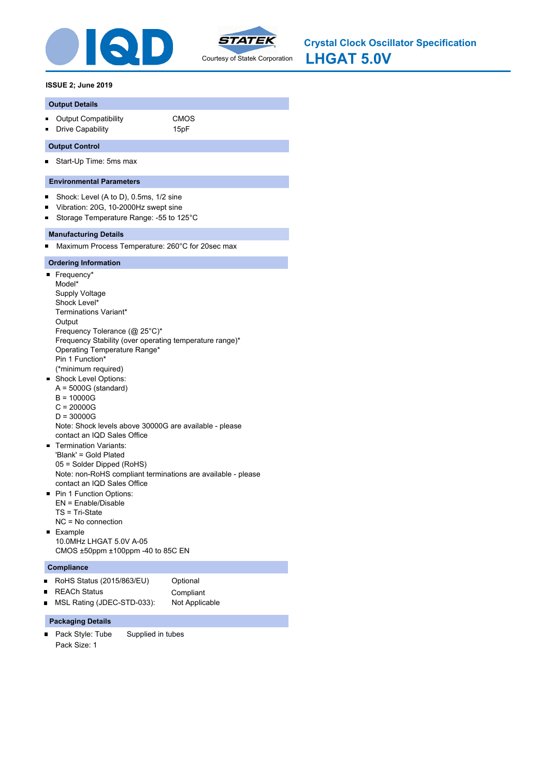



**LHGAT 5.0V Crystal Clock Oscillator Specification**

# **ISSUE 2; June 2019**

### **Output Details**

- Output Compatibility **CMOS**
- **Drive Capability** 15pF

# **Output Control**

Start-Up Time: 5ms max  $\blacksquare$ 

# **Environmental Parameters**

- $\blacksquare$ Shock: Level (A to D), 0.5ms, 1/2 sine
- Vibration: 20G, 10-2000Hz swept sine  $\blacksquare$
- Storage Temperature Range: -55 to 125°C  $\blacksquare$

# **Manufacturing Details**

Maximum Process Temperature: 260°C for 20sec max  $\blacksquare$ 

# **Ordering Information**

- Frequency\* Model\* Supply Voltage Shock Level\* Terminations Variant\* **Output** Frequency Tolerance (@ 25°C)\* Frequency Stability (over operating temperature range)\* Operating Temperature Range\* Pin 1 Function\* (\*minimum required) **Shock Level Options:**  $A = 5000G$  (standard) B = 10000G C = 20000G D = 30000G Note: Shock levels above 30000G are available - please contact an IQD Sales Office Termination Variants: m. 'Blank' = Gold Plated 05 = Solder Dipped (RoHS) Note: non-RoHS compliant terminations are available - please contact an IQD Sales Office **Pin 1 Function Options:** EN = Enable/Disable TS = Tri-State NC = No connection
- **Example** 10.0MHz LHGAT 5.0V A-05 CMOS ±50ppm ±100ppm -40 to 85C EN

# **Compliance**

 $\blacksquare$ 

- RoHS Status (2015/863/EU) Optional
	- REACh Status **Compliant**
- MSL Rating (JDEC-STD-033): Not Applicable  $\blacksquare$

# **Packaging Details**